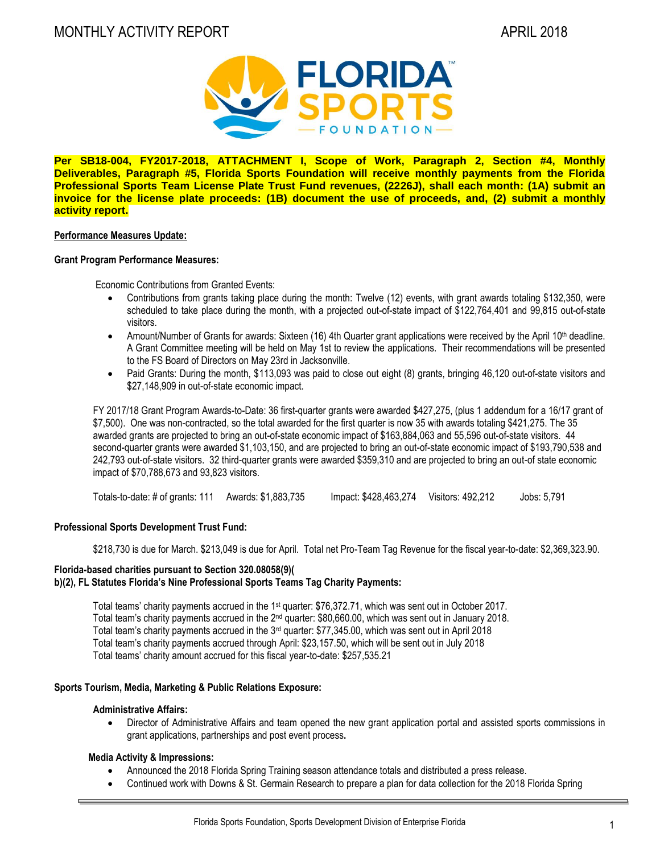

**Per SB18-004, FY2017-2018, ATTACHMENT I, Scope of Work, Paragraph 2, Section #4, Monthly Deliverables, Paragraph #5, Florida Sports Foundation will receive monthly payments from the Florida Professional Sports Team License Plate Trust Fund revenues, (2226J), shall each month: (1A) submit an invoice for the license plate proceeds: (1B) document the use of proceeds, and, (2) submit a monthly activity report.**

# **Performance Measures Update:**

#### **Grant Program Performance Measures:**

Economic Contributions from Granted Events:

- Contributions from grants taking place during the month: Twelve (12) events, with grant awards totaling \$132,350, were scheduled to take place during the month, with a projected out-of-state impact of \$122,764,401 and 99,815 out-of-state visitors.
- Amount/Number of Grants for awards: Sixteen (16) 4th Quarter grant applications were received by the April 10<sup>th</sup> deadline. A Grant Committee meeting will be held on May 1st to review the applications. Their recommendations will be presented to the FS Board of Directors on May 23rd in Jacksonville.
- Paid Grants: During the month, \$113,093 was paid to close out eight (8) grants, bringing 46,120 out-of-state visitors and \$27,148,909 in out-of-state economic impact.

FY 2017/18 Grant Program Awards-to-Date: 36 first-quarter grants were awarded \$427,275, (plus 1 addendum for a 16/17 grant of \$7,500). One was non-contracted, so the total awarded for the first quarter is now 35 with awards totaling \$421,275. The 35 awarded grants are projected to bring an out-of-state economic impact of \$163,884,063 and 55,596 out-of-state visitors. 44 second-quarter grants were awarded \$1,103,150, and are projected to bring an out-of-state economic impact of \$193,790,538 and 242,793 out-of-state visitors. 32 third-quarter grants were awarded \$359,310 and are projected to bring an out-of state economic impact of \$70,788,673 and 93,823 visitors.

Totals-to-date: # of grants: 111 Awards: \$1,883,735 Impact: \$428,463,274 Visitors: 492,212 Jobs: 5,791

# **Professional Sports Development Trust Fund:**

\$218,730 is due for March. \$213,049 is due for April. Total net Pro-Team Tag Revenue for the fiscal year-to-date: \$2,369,323.90.

#### **Florida-based charities pursuant to Section 320.08058(9)( b)(2), FL Statutes Florida's Nine Professional Sports Teams Tag Charity Payments:**

Total teams' charity payments accrued in the 1<sup>st</sup> quarter: \$76,372.71, which was sent out in October 2017. Total team's charity payments accrued in the 2<sup>nd</sup> quarter: \$80,660.00, which was sent out in January 2018. Total team's charity payments accrued in the 3<sup>rd</sup> quarter: \$77,345.00, which was sent out in April 2018 Total team's charity payments accrued through April: \$23,157.50, which will be sent out in July 2018 Total teams' charity amount accrued for this fiscal year-to-date: \$257,535.21

# **Sports Tourism, Media, Marketing & Public Relations Exposure:**

#### **Administrative Affairs:**

 Director of Administrative Affairs and team opened the new grant application portal and assisted sports commissions in grant applications, partnerships and post event process**.**

# **Media Activity & Impressions:**

- Announced the 2018 Florida Spring Training season attendance totals and distributed a press release.
- Continued work with Downs & St. Germain Research to prepare a plan for data collection for the 2018 Florida Spring